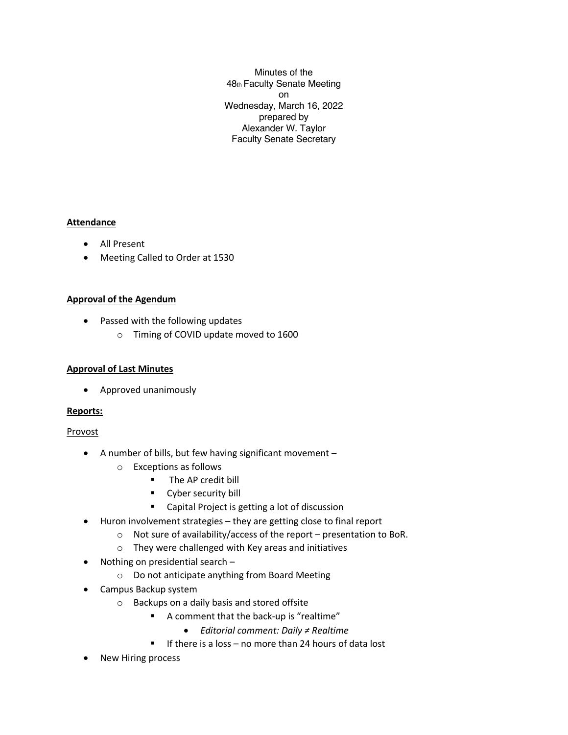Minutes of the 48th Faculty Senate Meeting on Wednesday, March 16, 2022 prepared by Alexander W. Taylor Faculty Senate Secretary

# **Attendance**

- All Present
- Meeting Called to Order at 1530

# **Approval of the Agendum**

- Passed with the following updates
	- o Timing of COVID update moved to 1600

# **Approval of Last Minutes**

• Approved unanimously

# **Reports:**

# Provost

- A number of bills, but few having significant movement
	- o Exceptions as follows
		- **•** The AP credit bill
		- Cyber security bill
		- Capital Project is getting a lot of discussion
- Huron involvement strategies they are getting close to final report
	- o Not sure of availability/access of the report presentation to BoR.
	- o They were challenged with Key areas and initiatives
- Nothing on presidential search
	- o Do not anticipate anything from Board Meeting
- Campus Backup system
	- o Backups on a daily basis and stored offsite
		- A comment that the back-up is "realtime"
			- *Editorial comment: Daily ≠ Realtime*
		- If there is a loss no more than 24 hours of data lost
- New Hiring process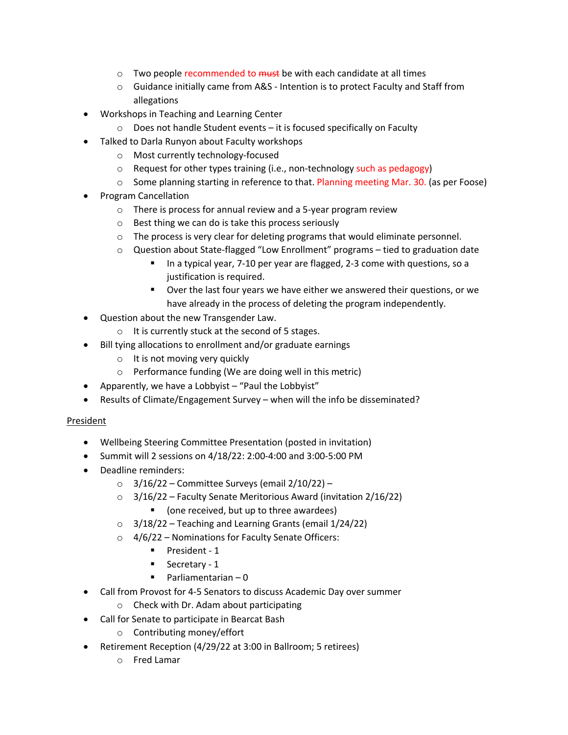- $\circ$  Two people recommended to  $\frac{m}{s}$  be with each candidate at all times
- $\circ$  Guidance initially came from A&S Intention is to protect Faculty and Staff from allegations
- Workshops in Teaching and Learning Center
	- o Does not handle Student events it is focused specifically on Faculty
- Talked to Darla Runyon about Faculty workshops
	- o Most currently technology-focused
	- o Request for other types training (i.e., non-technology such as pedagogy)
	- o Some planning starting in reference to that. Planning meeting Mar. 30. (as per Foose)
- Program Cancellation
	- o There is process for annual review and a 5-year program review
	- o Best thing we can do is take this process seriously
	- o The process is very clear for deleting programs that would eliminate personnel.
	- o Question about State-flagged "Low Enrollment" programs tied to graduation date
		- In a typical year, 7-10 per year are flagged, 2-3 come with questions, so a justification is required.
		- Over the last four years we have either we answered their questions, or we have already in the process of deleting the program independently.
- Question about the new Transgender Law.
	- o It is currently stuck at the second of 5 stages.
- Bill tying allocations to enrollment and/or graduate earnings
	- o It is not moving very quickly
	- o Performance funding (We are doing well in this metric)
- Apparently, we have a Lobbyist "Paul the Lobbyist"
- Results of Climate/Engagement Survey when will the info be disseminated?

# President

- Wellbeing Steering Committee Presentation (posted in invitation)
- Summit will 2 sessions on 4/18/22: 2:00-4:00 and 3:00-5:00 PM
- Deadline reminders:
	- $\circ$  3/16/22 Committee Surveys (email 2/10/22) –
	- $\circ$  3/16/22 Faculty Senate Meritorious Award (invitation 2/16/22)
		- (one received, but up to three awardees)
	- $\circ$  3/18/22 Teaching and Learning Grants (email 1/24/22)
	- $\circ$  4/6/22 Nominations for Faculty Senate Officers:
		- President 1
		- Secretary 1
		- **•** Parliamentarian  $-0$
- Call from Provost for 4-5 Senators to discuss Academic Day over summer
	- o Check with Dr. Adam about participating
- Call for Senate to participate in Bearcat Bash
	- o Contributing money/effort
- Retirement Reception (4/29/22 at 3:00 in Ballroom; 5 retirees)
	- o Fred Lamar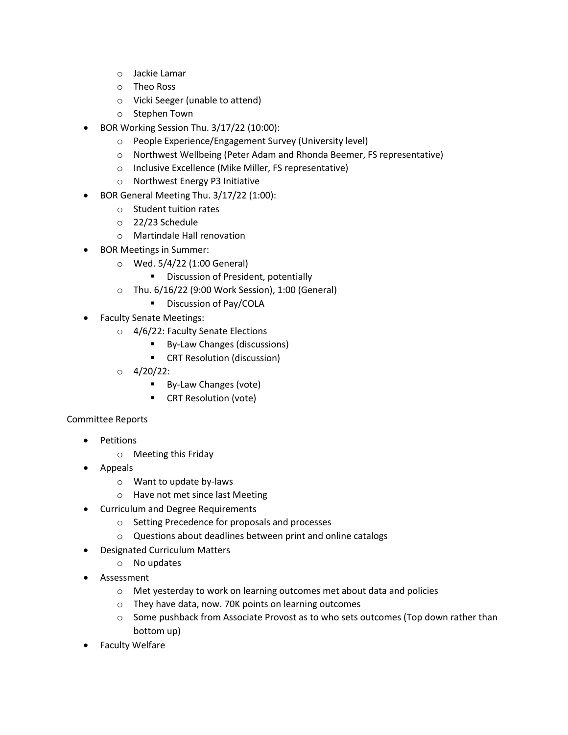- o Jackie Lamar
- o Theo Ross
- o Vicki Seeger (unable to attend)
- o Stephen Town
- BOR Working Session Thu. 3/17/22 (10:00):
	- o People Experience/Engagement Survey (University level)
	- o Northwest Wellbeing (Peter Adam and Rhonda Beemer, FS representative)
	- o Inclusive Excellence (Mike Miller, FS representative)
	- o Northwest Energy P3 Initiative
- BOR General Meeting Thu. 3/17/22 (1:00):
	- o Student tuition rates
	- o 22/23 Schedule
	- o Martindale Hall renovation
- BOR Meetings in Summer:
	- o Wed. 5/4/22 (1:00 General)
		- Discussion of President, potentially
	- o Thu. 6/16/22 (9:00 Work Session), 1:00 (General)
		- Discussion of Pay/COLA
- Faculty Senate Meetings:
	- o 4/6/22: Faculty Senate Elections
		- By-Law Changes (discussions)
		- CRT Resolution (discussion)
	- $O \frac{4}{20/22}$ :
		- By-Law Changes (vote)
		- CRT Resolution (vote)

# Committee Reports

- Petitions
	- o Meeting this Friday
- Appeals
	- o Want to update by-laws
	- o Have not met since last Meeting
- Curriculum and Degree Requirements
	- o Setting Precedence for proposals and processes
	- o Questions about deadlines between print and online catalogs
- Designated Curriculum Matters
	- o No updates
- **Assessment** 
	- o Met yesterday to work on learning outcomes met about data and policies
	- o They have data, now. 70K points on learning outcomes
	- $\circ$  Some pushback from Associate Provost as to who sets outcomes (Top down rather than bottom up)
- Faculty Welfare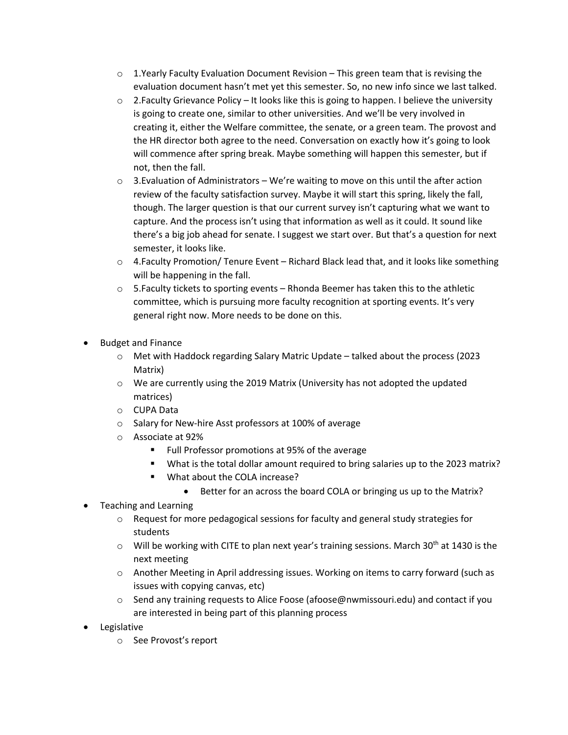- $\circ$  1. Yearly Faculty Evaluation Document Revision This green team that is revising the evaluation document hasn't met yet this semester. So, no new info since we last talked.
- $\circ$  2. Faculty Grievance Policy It looks like this is going to happen. I believe the university is going to create one, similar to other universities. And we'll be very involved in creating it, either the Welfare committee, the senate, or a green team. The provost and the HR director both agree to the need. Conversation on exactly how it's going to look will commence after spring break. Maybe something will happen this semester, but if not, then the fall.
- $\circ$  3. Evaluation of Administrators We're waiting to move on this until the after action review of the faculty satisfaction survey. Maybe it will start this spring, likely the fall, though. The larger question is that our current survey isn't capturing what we want to capture. And the process isn't using that information as well as it could. It sound like there's a big job ahead for senate. I suggest we start over. But that's a question for next semester, it looks like.
- o 4.Faculty Promotion/ Tenure Event Richard Black lead that, and it looks like something will be happening in the fall.
- $\circ$  5. Faculty tickets to sporting events Rhonda Beemer has taken this to the athletic committee, which is pursuing more faculty recognition at sporting events. It's very general right now. More needs to be done on this.
- Budget and Finance
	- o Met with Haddock regarding Salary Matric Update talked about the process (2023 Matrix)
	- o We are currently using the 2019 Matrix (University has not adopted the updated matrices)
	- o CUPA Data
	- o Salary for New-hire Asst professors at 100% of average
	- o Associate at 92%
		- § Full Professor promotions at 95% of the average
		- § What is the total dollar amount required to bring salaries up to the 2023 matrix?
		- What about the COLA increase?
			- Better for an across the board COLA or bringing us up to the Matrix?
- Teaching and Learning
	- $\circ$  Request for more pedagogical sessions for faculty and general study strategies for students
	- $\circ$  Will be working with CITE to plan next year's training sessions. March 30<sup>th</sup> at 1430 is the next meeting
	- $\circ$  Another Meeting in April addressing issues. Working on items to carry forward (such as issues with copying canvas, etc)
	- $\circ$  Send any training requests to Alice Foose (afoose@nwmissouri.edu) and contact if you are interested in being part of this planning process
- Legislative
	- o See Provost's report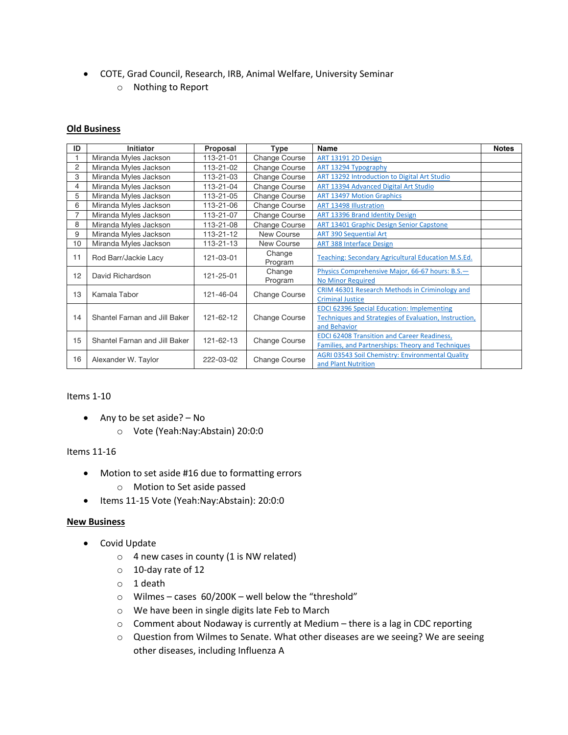- COTE, Grad Council, Research, IRB, Animal Welfare, University Seminar
	- o Nothing to Report

### **Old Business**

| ID             | Initiator                     | Proposal  | Type                 | Name                                                                                                                       | <b>Notes</b> |
|----------------|-------------------------------|-----------|----------------------|----------------------------------------------------------------------------------------------------------------------------|--------------|
|                | Miranda Myles Jackson         | 113-21-01 | <b>Change Course</b> | <b>ART 13191 2D Design</b>                                                                                                 |              |
| $\overline{c}$ | Miranda Myles Jackson         | 113-21-02 | Change Course        | ART 13294 Typography                                                                                                       |              |
| 3              | Miranda Myles Jackson         | 113-21-03 | <b>Change Course</b> | ART 13292 Introduction to Digital Art Studio                                                                               |              |
| 4              | Miranda Myles Jackson         | 113-21-04 | Change Course        | ART 13394 Advanced Digital Art Studio                                                                                      |              |
| 5              | Miranda Myles Jackson         | 113-21-05 | Change Course        | <b>ART 13497 Motion Graphics</b>                                                                                           |              |
| 6              | Miranda Myles Jackson         | 113-21-06 | Change Course        | <b>ART 13498 Illustration</b>                                                                                              |              |
| $\overline{7}$ | Miranda Myles Jackson         | 113-21-07 | Change Course        | ART 13396 Brand Identity Design                                                                                            |              |
| 8              | Miranda Myles Jackson         | 113-21-08 | Change Course        | ART 13401 Graphic Design Senior Capstone                                                                                   |              |
| 9              | Miranda Myles Jackson         | 113-21-12 | New Course           | <b>ART 390 Sequential Art</b>                                                                                              |              |
| 10             | Miranda Myles Jackson         | 113-21-13 | New Course           | <b>ART 388 Interface Design</b>                                                                                            |              |
| 11             | Rod Barr/Jackie Lacy          | 121-03-01 | Change<br>Program    | Teaching: Secondary Agricultural Education M.S.Ed.                                                                         |              |
| 12             | David Richardson              | 121-25-01 | Change<br>Program    | Physics Comprehensive Major, 66-67 hours: B.S.-<br><b>No Minor Required</b>                                                |              |
| 13             | Kamala Tabor                  | 121-46-04 | Change Course        | CRIM 46301 Research Methods in Criminology and<br><b>Criminal Justice</b>                                                  |              |
| 14             | Shantel Farnan and Jill Baker | 121-62-12 | Change Course        | <b>EDCI 62396 Special Education: Implementing</b><br>Techniques and Strategies of Evaluation, Instruction,<br>and Behavior |              |
| 15             | Shantel Farnan and Jill Baker | 121-62-13 | Change Course        | <b>EDCI 62408 Transition and Career Readiness,</b><br>Families, and Partnerships: Theory and Techniques                    |              |
| 16             | Alexander W. Taylor           | 222-03-02 | <b>Change Course</b> | AGRI 03543 Soil Chemistry: Environmental Quality<br>and Plant Nutrition                                                    |              |

#### Items 1-10

- Any to be set aside? No
	- o Vote (Yeah:Nay:Abstain) 20:0:0

### Items 11-16

- Motion to set aside #16 due to formatting errors
	- o Motion to Set aside passed
- Items 11-15 Vote (Yeah:Nay:Abstain): 20:0:0

#### **New Business**

- Covid Update
	- $\circ$  4 new cases in county (1 is NW related)
	- o 10-day rate of 12
	- o 1 death
	- o Wilmes cases 60/200K well below the "threshold"
	- o We have been in single digits late Feb to March
	- o Comment about Nodaway is currently at Medium there is a lag in CDC reporting
	- o Question from Wilmes to Senate. What other diseases are we seeing? We are seeing other diseases, including Influenza A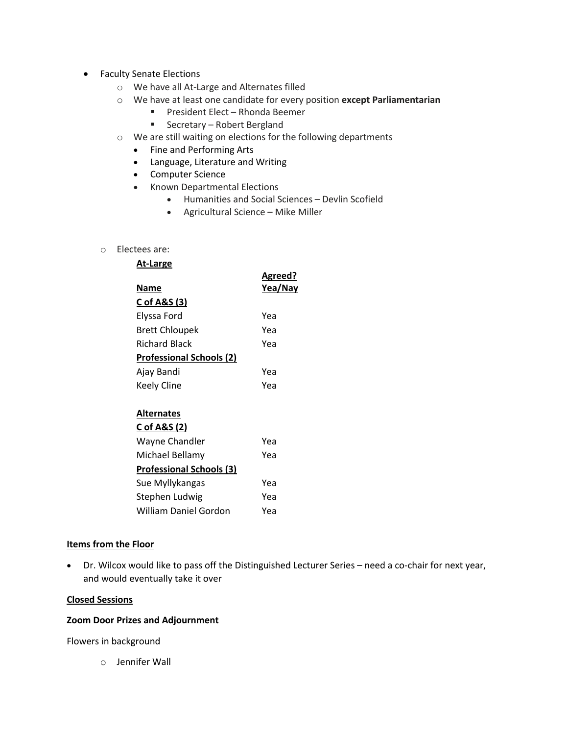- Faculty Senate Elections
	- o We have all At-Large and Alternates filled
	- o We have at least one candidate for every position **except Parliamentarian**
		- President Elect Rhonda Beemer
		- Secretary Robert Bergland
	- o We are still waiting on elections for the following departments
		- Fine and Performing Arts
		- Language, Literature and Writing
		- Computer Science
		- Known Departmental Elections
			- Humanities and Social Sciences Devlin Scofield
			- Agricultural Science Mike Miller
	- o Electees are:

| At-Large                        |                    |
|---------------------------------|--------------------|
| Name                            | Agreed?<br>Yea/Nay |
| C of A&S (3)                    |                    |
| Elyssa Ford                     | Yea                |
| <b>Brett Chloupek</b>           | Yea                |
| <b>Richard Black</b>            | Yea                |
| <b>Professional Schools (2)</b> |                    |
| Ajay Bandi                      | Yea                |
| Keely Cline                     | Yea                |
|                                 |                    |
| <b>Alternates</b>               |                    |
| C of A&S (2)                    |                    |
| Wayne Chandler                  | Yea                |
| Michael Bellamy                 | Yea                |
| <b>Professional Schools (3)</b> |                    |
| Sue Myllykangas                 | Yea                |
| Stephen Ludwig                  | Yea                |

William Daniel Gordon Yea

### **Items from the Floor**

• Dr. Wilcox would like to pass off the Distinguished Lecturer Series – need a co-chair for next year, and would eventually take it over

### **Closed Sessions**

### **Zoom Door Prizes and Adjournment**

Flowers in background

o Jennifer Wall